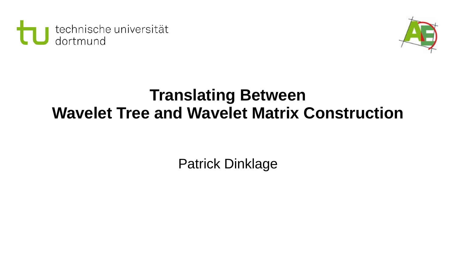



## **Translating Between Wavelet Tree and Wavelet Matrix Construction**

Patrick Dinklage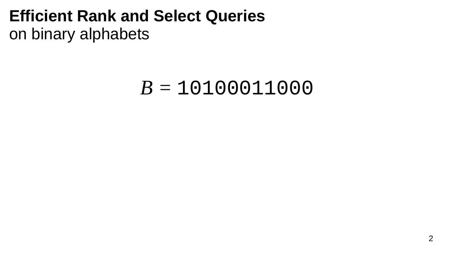## *B =* 10100011000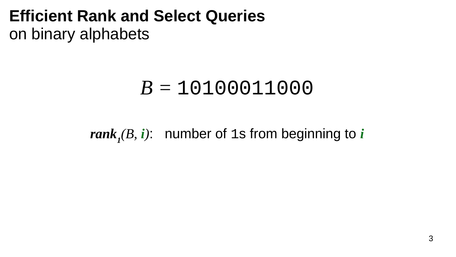## *B =* 10100011000

*rank<sup>1</sup> (B, i)*: number of 1s from beginning to *i*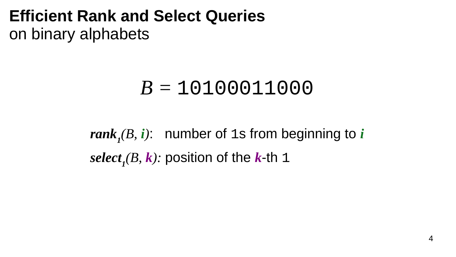# *B =* 10100011000

*rank<sup>1</sup> (B, i)*: number of 1s from beginning to *i select<sup>1</sup> (B, k):* position of the *k*-th 1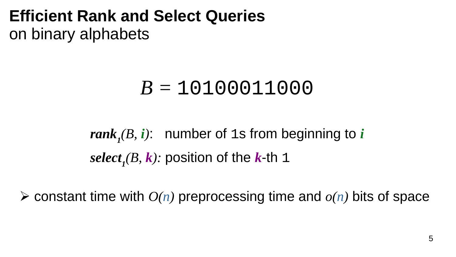# *B =* 10100011000

*rank<sup>1</sup> (B, i)*: number of 1s from beginning to *i select<sup>1</sup> (B, k):* position of the *k*-th 1

 $\triangleright$  constant time with  $O(n)$  preprocessing time and  $o(n)$  bits of space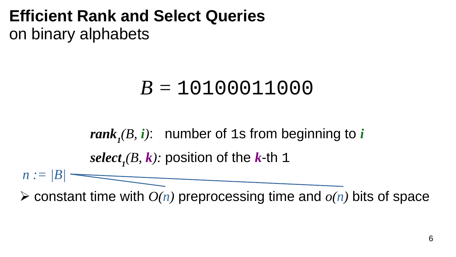# *B =* 10100011000

*rank<sup>1</sup> (B, i)*: number of 1s from beginning to *i select<sup>1</sup> (B, k):* position of the *k*-th 1

*n := |B|*

 $\triangleright$  constant time with  $O(n)$  preprocessing time and  $o(n)$  bits of space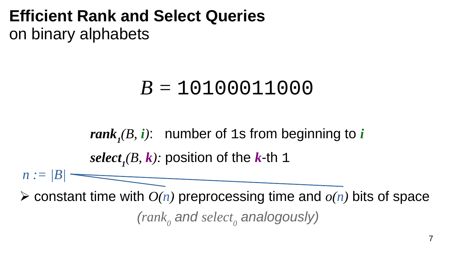# *B =* 10100011000

*rank<sup>1</sup> (B, i)*: number of 1s from beginning to *i select<sup>1</sup> (B, k):* position of the *k*-th 1

*n := |B|*

*(rank<sup>0</sup> and select<sup>0</sup> analogously)*  $\triangleright$  constant time with  $O(n)$  preprocessing time and  $o(n)$  bits of space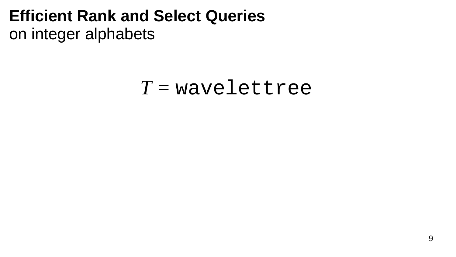# *T =* wavelettree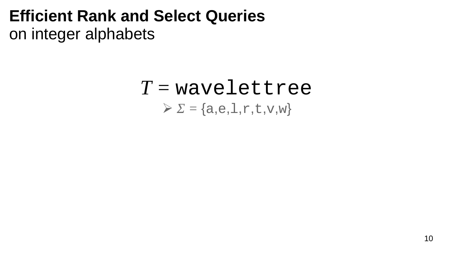## *T =* wavelettree  $\triangleright$   $\Sigma$  = {a,e, 1, r, t, v, w}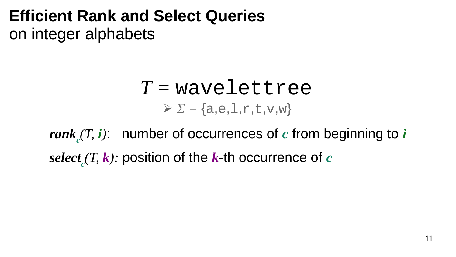## *T =* wavelettree  $\geqslant \Sigma = \{a,e,1,r,t,v,w\}$

*rank c (T, i)*: number of occurrences of *c* from beginning to *i select c (T, k):* position of the *k*-th occurrence of *c*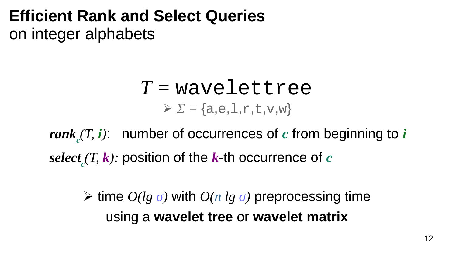## *T =* wavelettree  $\geqslant \Sigma = \{a,e,1,r,t,v,w\}$

*rank c (T, i)*: number of occurrences of *c* from beginning to *i select c (T, k):* position of the *k*-th occurrence of *c*

⮚ time *O(lg σ)* with *O(n lg σ)* preprocessing time using a **wavelet tree** or **wavelet matrix**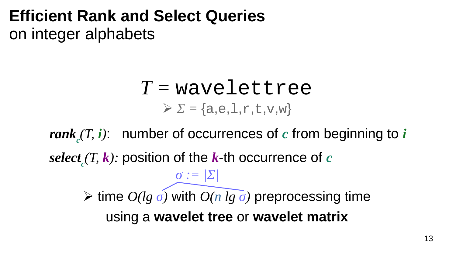# *T =* wavelettree  $\sum$  *Σ* = {a,e, 1, r, t, v, w}

*rank c (T, i)*: number of occurrences of *c* from beginning to *i select c (T, k):* position of the *k*-th occurrence of *c* ⮚ time *O(lg σ)* with *O(n lg σ)* preprocessing time using a **wavelet tree** or **wavelet matrix** *σ := |Σ|*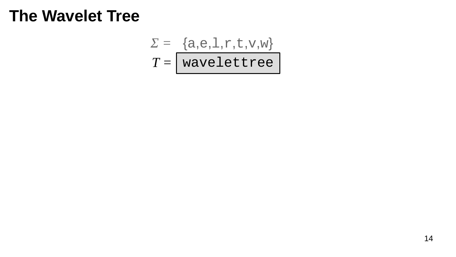$$
\Sigma = \{a, e, l, r, t, v, w\}
$$

$$
T = \sqrt{\text{wavelettree}}
$$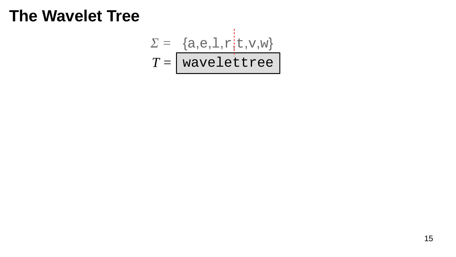$$
\Sigma = \{a, e, l, r | t, v, w\}
$$

$$
T = \text{wavelettree}
$$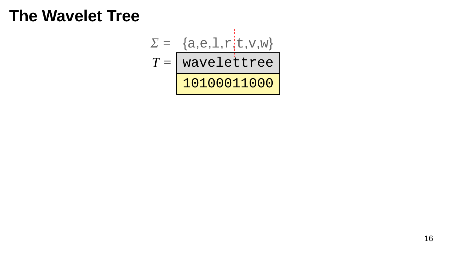$$
\Sigma = \{a, e, 1, r, t, v, w\}
$$

$$
T = \text{wavelettree}
$$
10100011000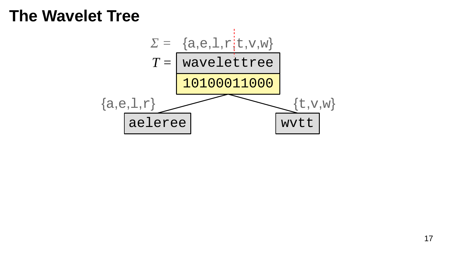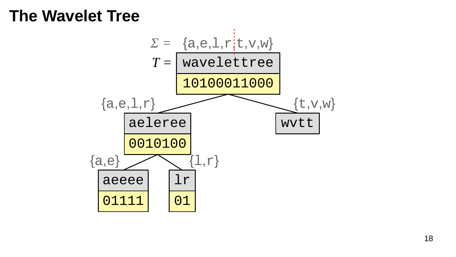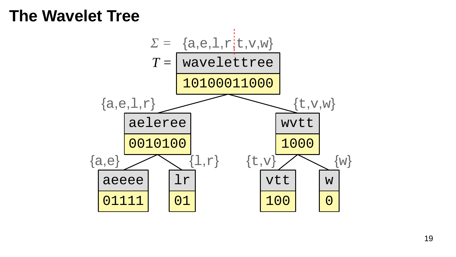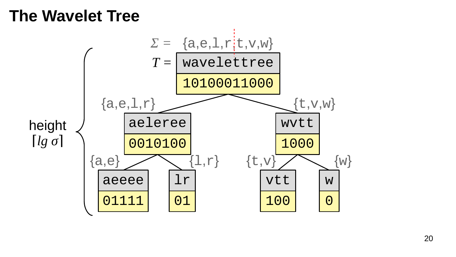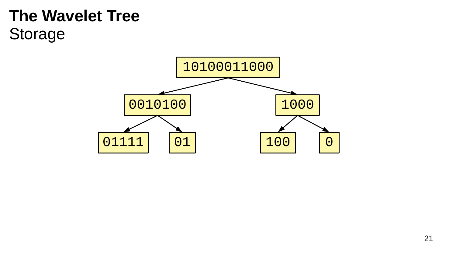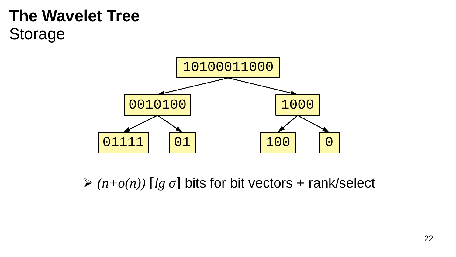

 $\triangleright$  (n+o(n)) [lg  $\sigma$ ] bits for bit vectors + rank/select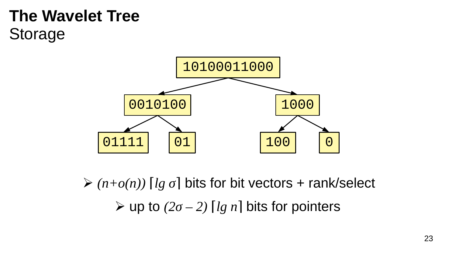

 $\geq (n+o(n))$  [*lg σ*] bits for bit vectors + rank/select  $\triangleright$  up to  $(2\sigma - 2)$  [*lg n*] bits for pointers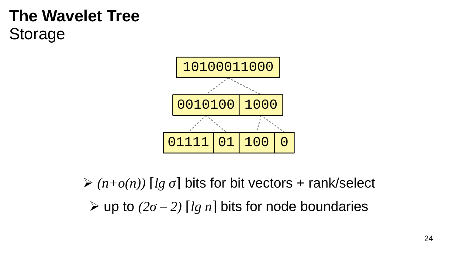

 $\geq (n+o(n))$  [lg  $\sigma$ ] bits for bit vectors + rank/select  $\triangleright$  up to (2 $\sigma$  – 2) [lg n] bits for node boundaries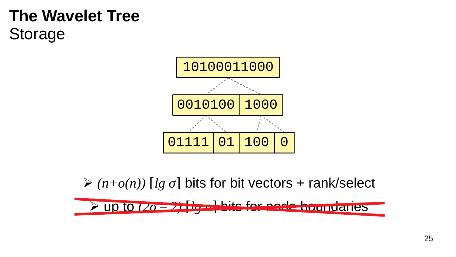

 $\geq (n+o(n))$  [*lg σ*] bits for bit vectors + rank/select

⮚ up to *(2σ – 2)* ⌈*lg n*⌉ bits for node boundaries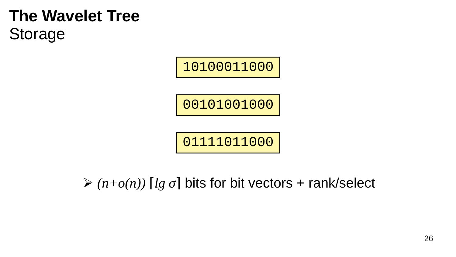10100011000

00101001000

01111011000

 $\triangleright$  (n+o(n)) [lg  $\sigma$ ] bits for bit vectors + rank/select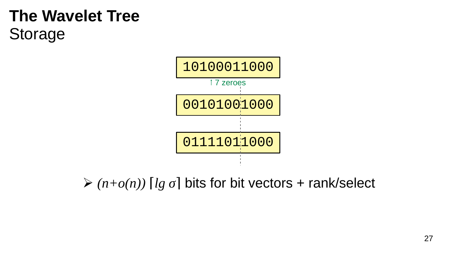

 $\triangleright$  (n+o(n)) [lg  $\sigma$ ] bits for bit vectors + rank/select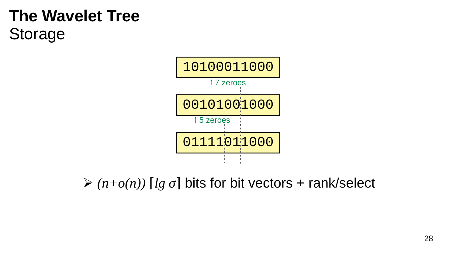

 $\geq (n+o(n))$  [*lg σ*] bits for bit vectors + rank/select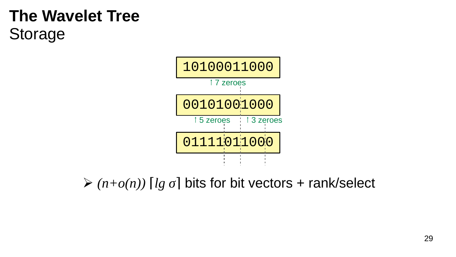

 $\geq (n+o(n))$  [*lg σ*] bits for bit vectors + rank/select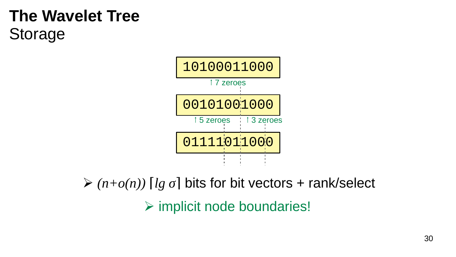

⮚ implicit node boundaries!  $\geq (n+o(n))$  [*lg σ*] bits for bit vectors + rank/select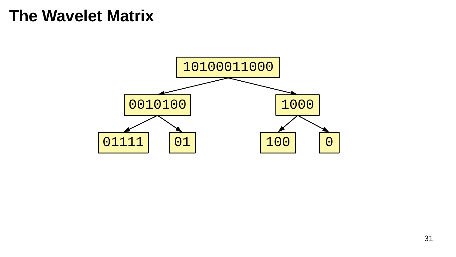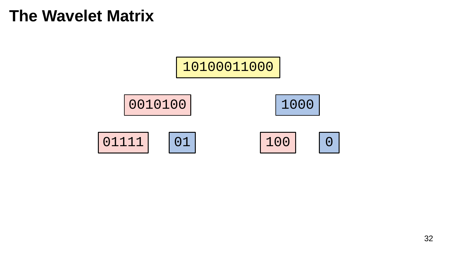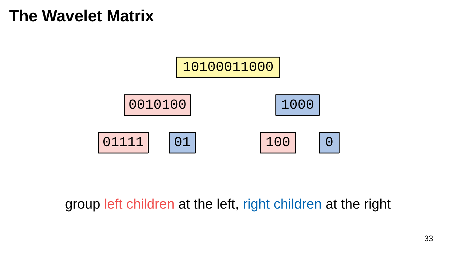

#### group left children at the left, right children at the right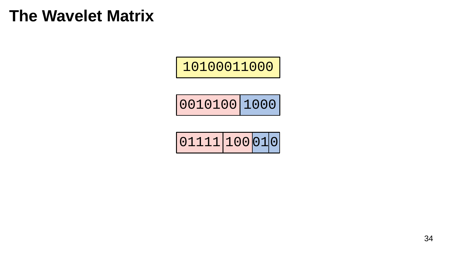

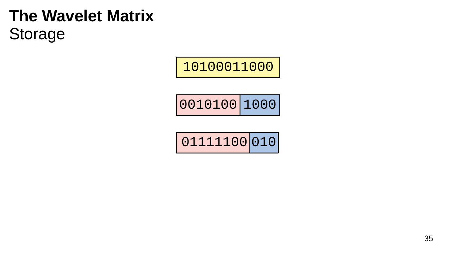## **The Wavelet Matrix** Storage



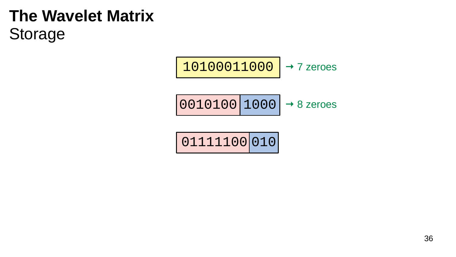## **The Wavelet Matrix** Storage

$$
\fbox{10100011000}\to 7\ \text{zeros}
$$

$$
\fbox{0010100} \fbox{1000} \to 8 \text{ zeroes}
$$

$$
\fbox{01111100}\fbox{010}
$$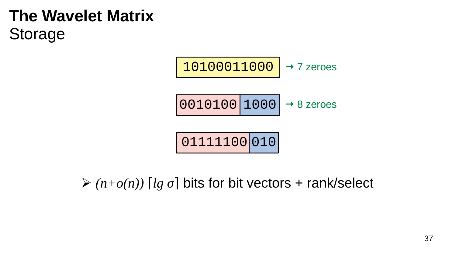# **The Wavelet Matrix** Storage

$$
\begin{array}{|l|l|}\n \hline\n 10100011000 & \rightarrow & 7 \text{ zeroes} \\
\hline\n 0010100 & 1000 & \rightarrow & 8 \text{ zeroes} \\
\hline\n 01111100 & 010 & \n\end{array}
$$

 $\geq (n+o(n))$  [*lg σ*] bits for bit vectors + rank/select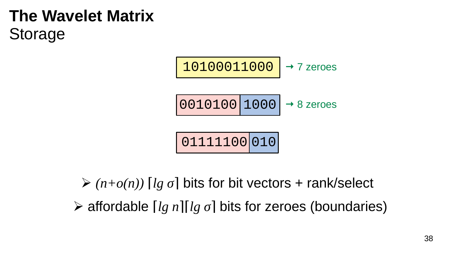# **The Wavelet Matrix** Storage



**≻** affordable [*lg n*][*lg σ*] bits for zeroes (boundaries)  $\geq (n+o(n))$  [*lg σ*] bits for bit vectors + rank/select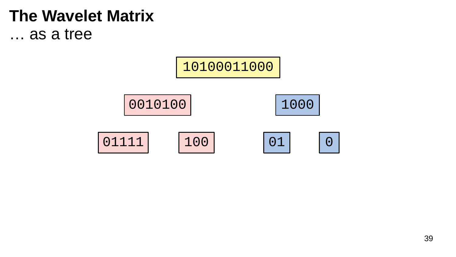## **The Wavelet Matrix** ... as a tree

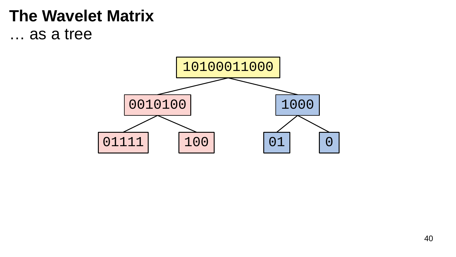## **The Wavelet Matrix** ... as a tree

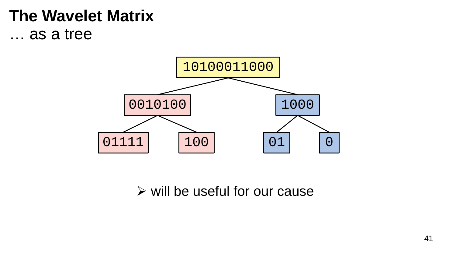## **The Wavelet Matrix** ... as a tree



 $\triangleright$  will be useful for our cause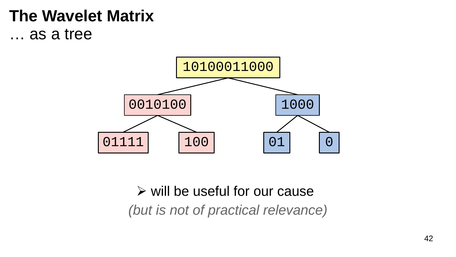## **The Wavelet Matrix** … as a tree



## *(but is not of practical relevance)*  $\triangleright$  will be useful for our cause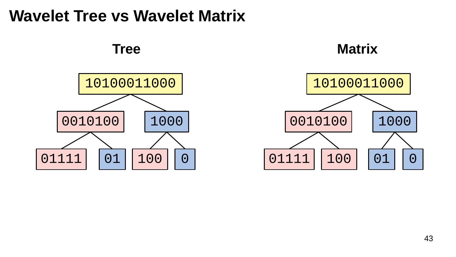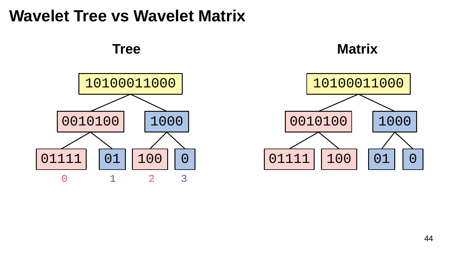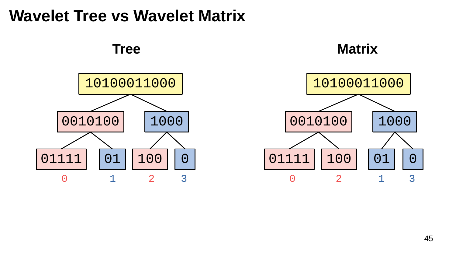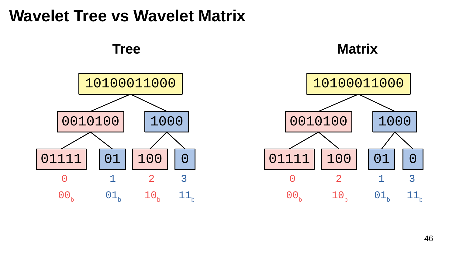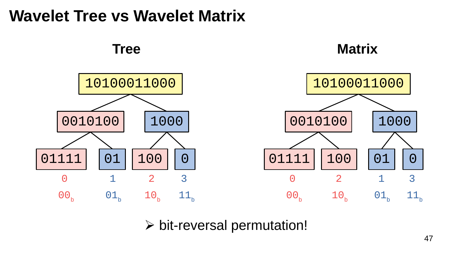

 $\triangleright$  bit-reversal permutation!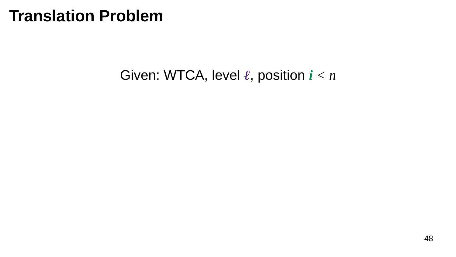#### Given: WTCA, level *ℓ*, position *i < n*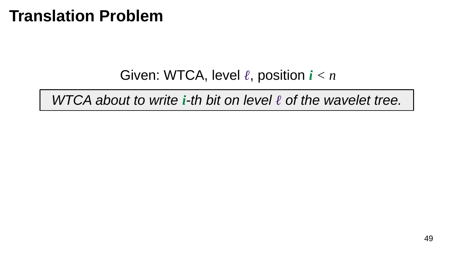#### Given: WTCA, level *ℓ*, position *i < n*

*WTCA about to write <i>i*-th bit on level ℓ of the wavelet tree.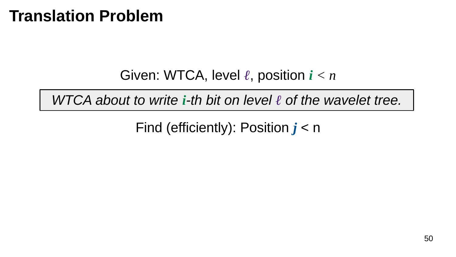Given: WTCA, level *ℓ*, position *i < n*

*WTCA about to write <i>i*-th bit on level ℓ of the wavelet tree.

Find (efficiently): Position *j* < n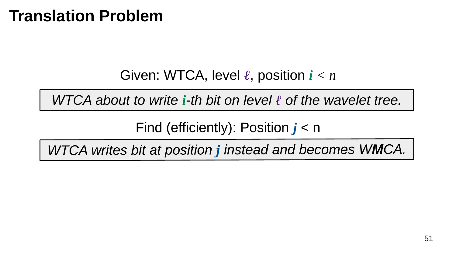Given: WTCA, level *ℓ*, position *i < n*

*WTCA about to write <i>i*-th bit on level ℓ of the wavelet tree.

Find (efficiently): Position *j* < n

WTCA writes bit at position j instead and becomes WMCA.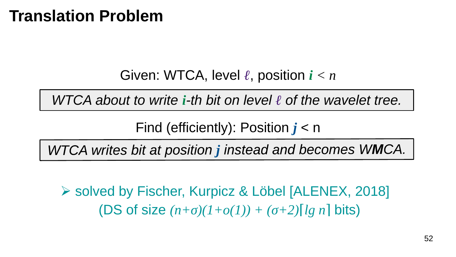Given: WTCA, level *ℓ*, position *i < n*

*WTCA about to write <i>i*-th bit on level ℓ of the wavelet tree.

Find (efficiently): Position *j* < n

WTCA writes bit at position j instead and becomes WMCA.

⮚ solved by Fischer, Kurpicz & Löbel [ALENEX, 2018] (DS of size  $(n+σ)(1+o(1)) + (σ+2)$ [*lg n*] bits)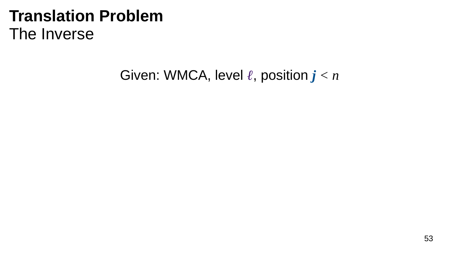# **Translation Problem** The Inverse

#### Given: WMCA, level *ℓ*, position *j < n*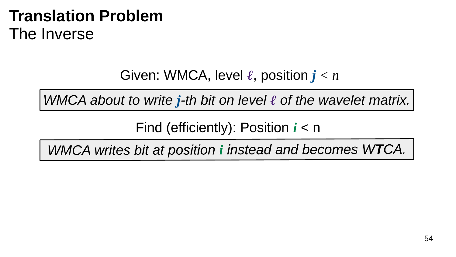# **Translation Problem** The Inverse

#### Given: WMCA, level *ℓ*, position *j < n*

*WMCA about to write j-th bit on level ℓ of the wavelet matrix.*

Find (efficiently): Position *i* < n

WMCA writes bit at position i instead and becomes WTCA.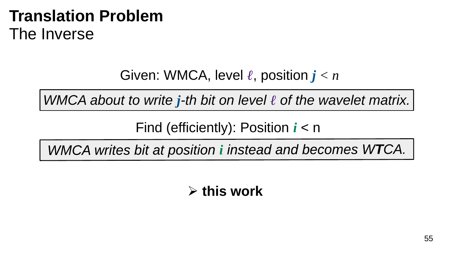# **Translation Problem** The Inverse

#### Given: WMCA, level *ℓ*, position *j < n*

*WMCA about to write j-th bit on level ℓ of the wavelet matrix.*

Find (efficiently): Position *i* < n

WMCA writes bit at position i instead and becomes WTCA.

⮚ **this work**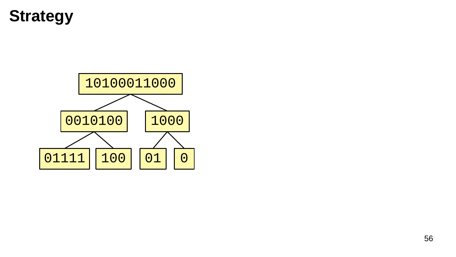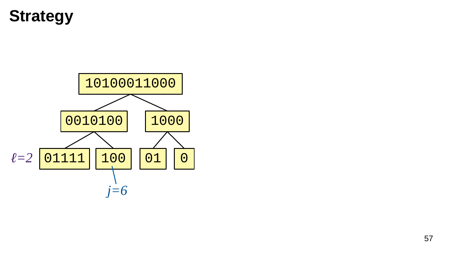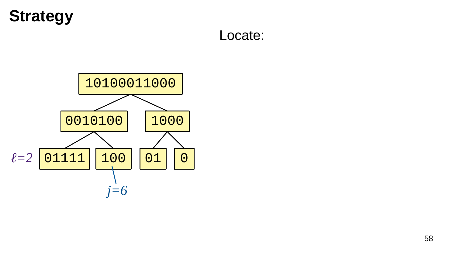#### Locate:

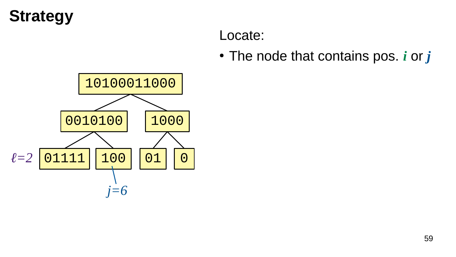#### Locate:

• The node that contains pos. *i* or *j* 

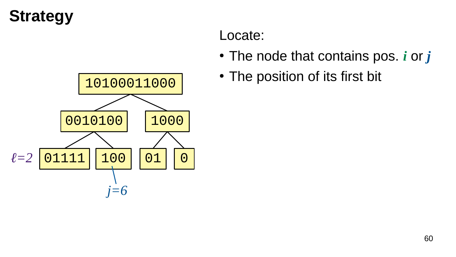

#### Locate:

- The node that contains pos. *i* or *j*
- The position of its first bit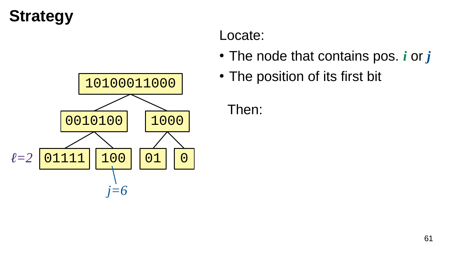

#### Locate:

- The node that contains pos. *i* or *j*
- The position of its first bit

Then: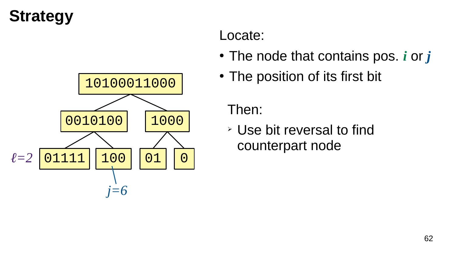

#### Locate:

- The node that contains pos. *i* or *j*
- The position of its first bit

Then:

➢ Use bit reversal to find counterpart node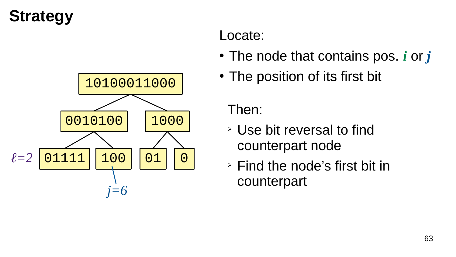

#### Locate:

- The node that contains pos. *i* or *j*
- The position of its first bit

Then:

- ➢ Use bit reversal to find counterpart node
- ➢ Find the node's first bit in counterpart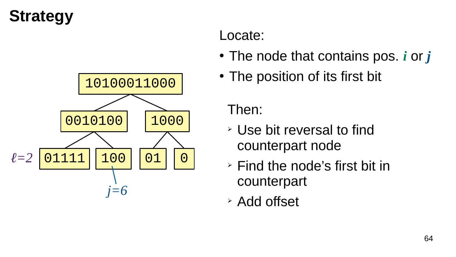

#### Locate:

- The node that contains pos. *i* or *j*
- The position of its first bit

Then:

- ➢ Use bit reversal to find counterpart node
- ➢ Find the node's first bit in counterpart
- ➢ Add offset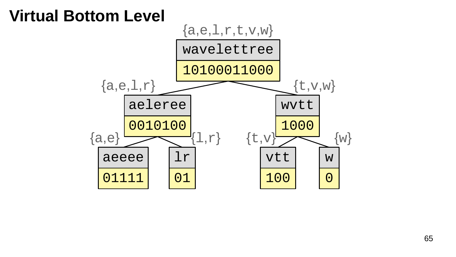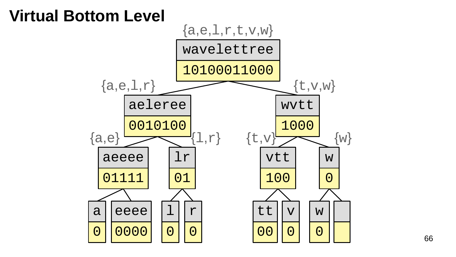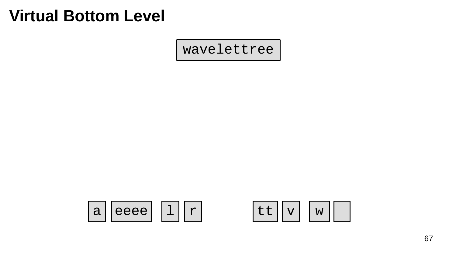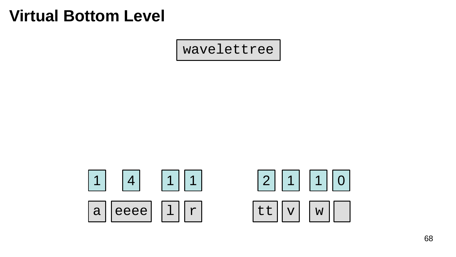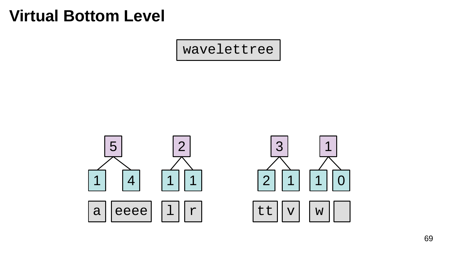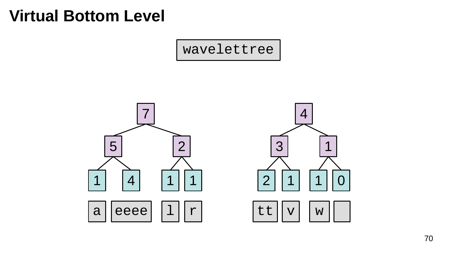

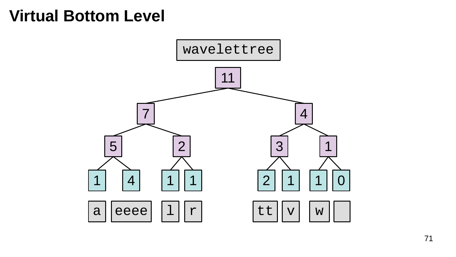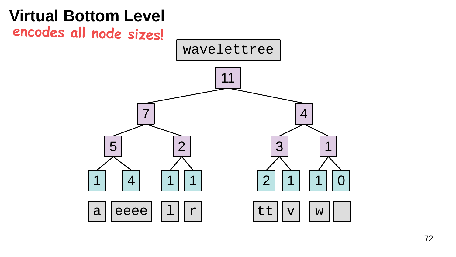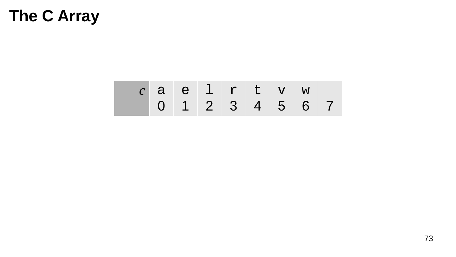#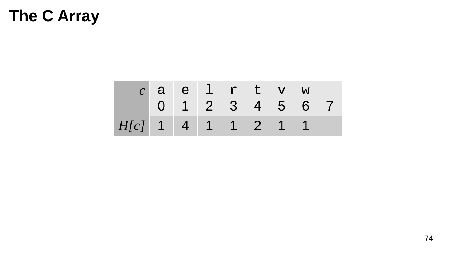|                      |  | caelrtvw |  |                 |  |
|----------------------|--|----------|--|-----------------|--|
|                      |  |          |  | 0 1 2 3 4 5 6 7 |  |
| $H[c]$ 1 4 1 1 2 1 1 |  |          |  |                 |  |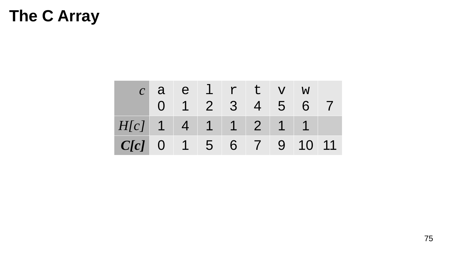|                      |  | aelrtvw       |  |       |  |
|----------------------|--|---------------|--|-------|--|
|                      |  | 0 1 2 3 4 5 6 |  |       |  |
| $H[c]$ 1 4 1 1 2 1 1 |  |               |  |       |  |
| $C[c]$ 0 1 5 6 7 9   |  |               |  | 10 11 |  |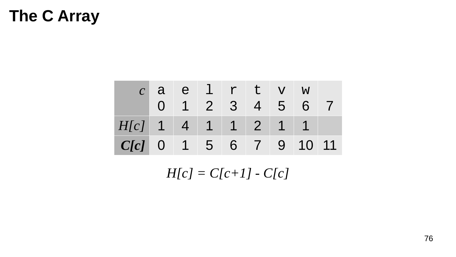|                          |  | $c$ a e $1$ r t v w |  |  |  |
|--------------------------|--|---------------------|--|--|--|
|                          |  | 0 1 2 3 4 5 6       |  |  |  |
| $H[c]$ 1 4 1 1 2 1 1     |  |                     |  |  |  |
| $C[c]$ 0 1 5 6 7 9 10 11 |  |                     |  |  |  |

 $H[c] = C[c+1] - C[c]$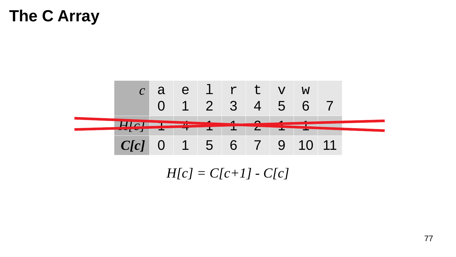

 $H[c] = C[c+1] - C[c]$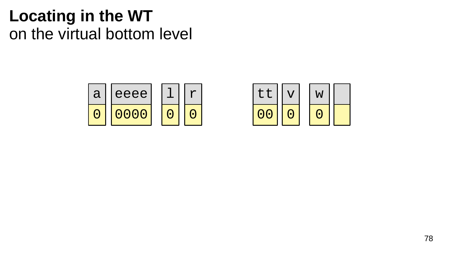

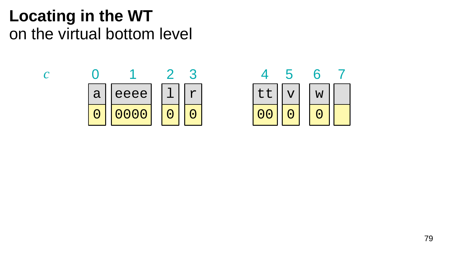

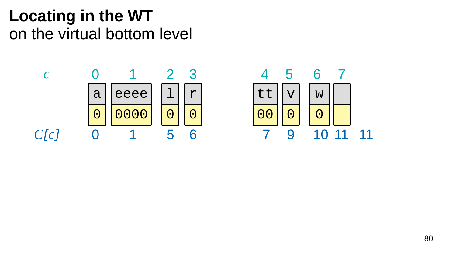

11 11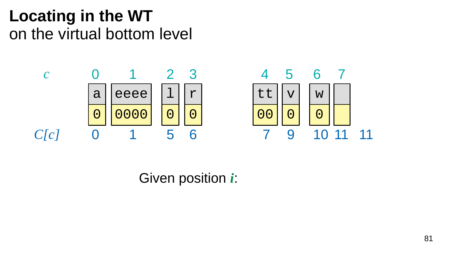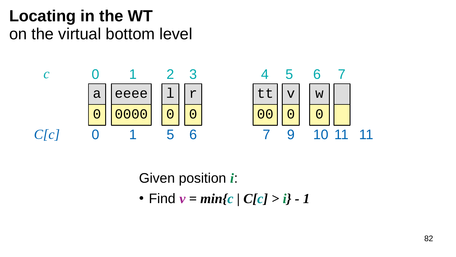

Given position *i*:

• Find  $v = min\{c | C[c] > i\} - 1$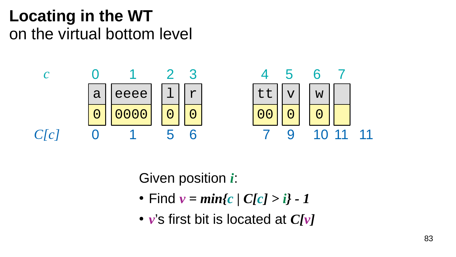

- Find  $v = min\{c | C[c] > i\} 1$
- *v*'s first bit is located at *C[v]*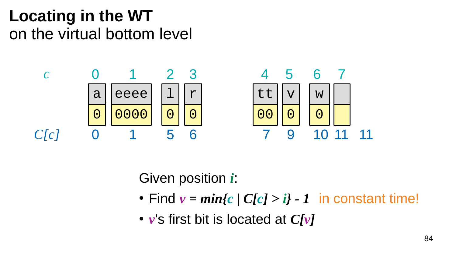

- Find  $v = min\{c \mid C[c] > i\}$  1 in constant time!
- *v*'s first bit is located at *C[v]*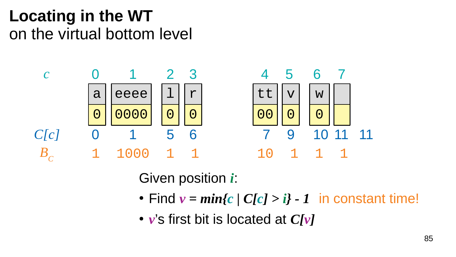

- Find  $v = min\{c \mid C[c] > i\}$  1 in constant time!
- *v*'s first bit is located at *C[v]*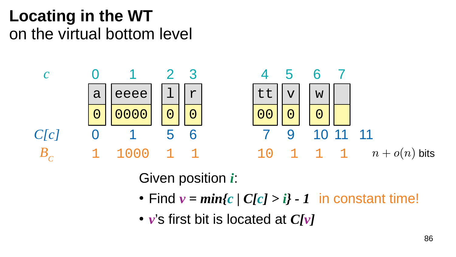

- Find  $v = min\{c \mid C[c] > i\}$  1 in constant time!
- *v*'s first bit is located at *C[v]*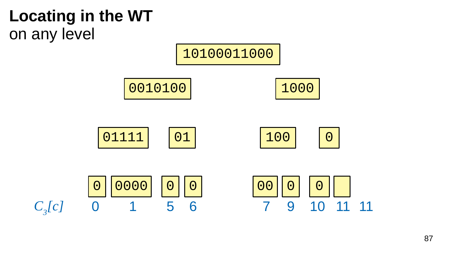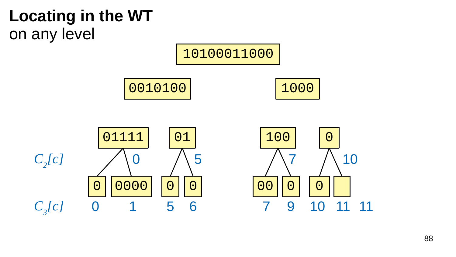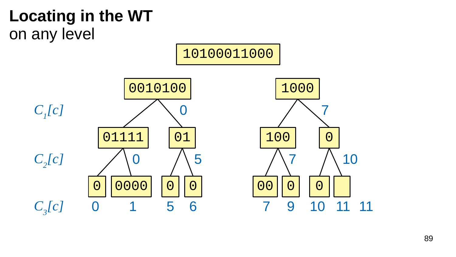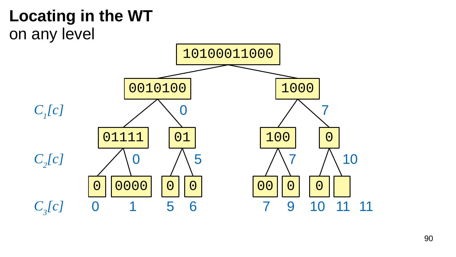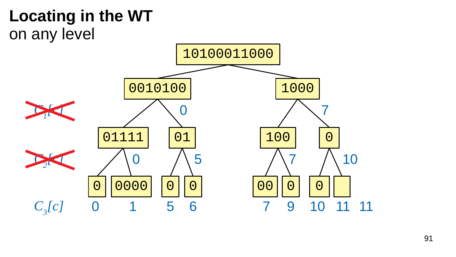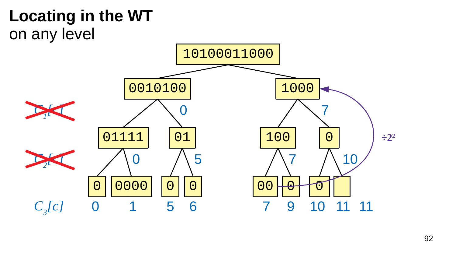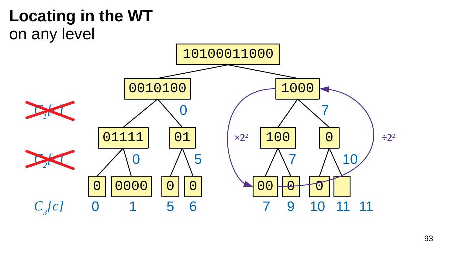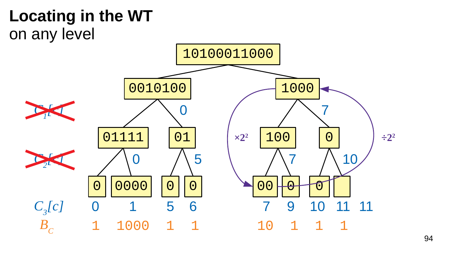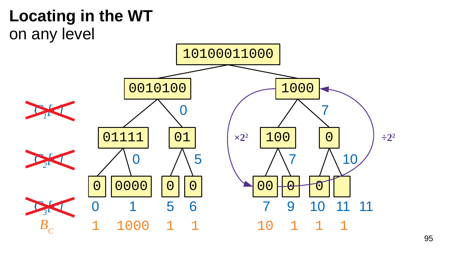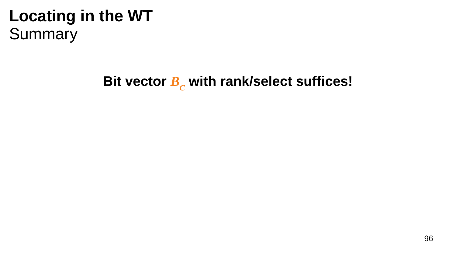# **Bit vector** *B<sup>C</sup>*  **with rank/select suffices!**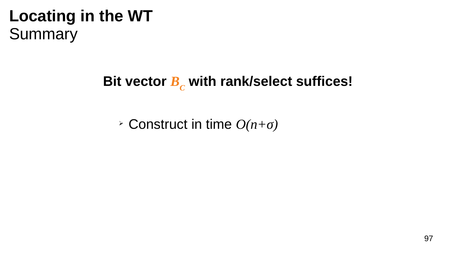# **Bit vector** *B<sup>C</sup>*  **with rank/select suffices!**

➢ Construct in time *O(n+σ)*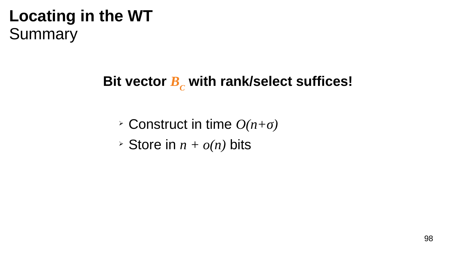# **Bit vector** *B<sup>C</sup>*  **with rank/select suffices!**

- ➢ Construct in time *O(n+σ)*
- $\rightarrow$  Store in  $n + o(n)$  bits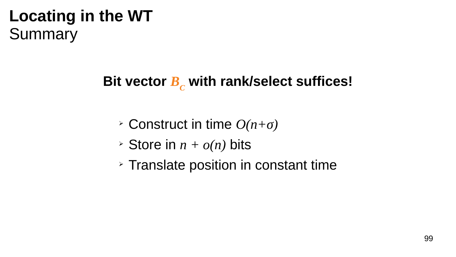# **Bit vector** *B<sup>C</sup>*  **with rank/select suffices!**

- ➢ Construct in time *O(n+σ)*
- $\geq$  Store in  $n + o(n)$  bits
- ➢ Translate position in constant time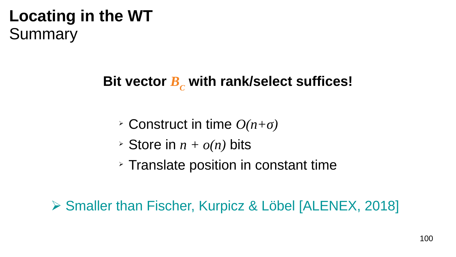# **Bit vector** *B<sup>C</sup>*  **with rank/select suffices!**

- ➢ Construct in time *O(n+σ)*
- $\geq$  Store in  $n + o(n)$  bits
- ➢ Translate position in constant time

⮚ Smaller than Fischer, Kurpicz & Löbel [ALENEX, 2018]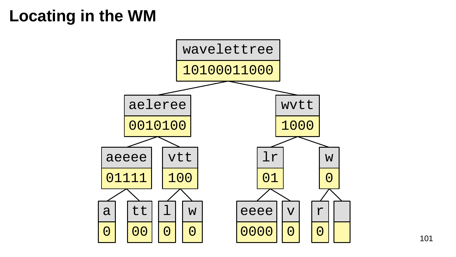# **Locating in the WM**

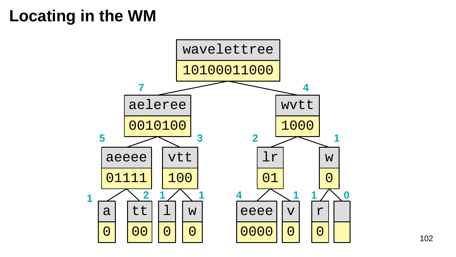# **Locating in the WM**

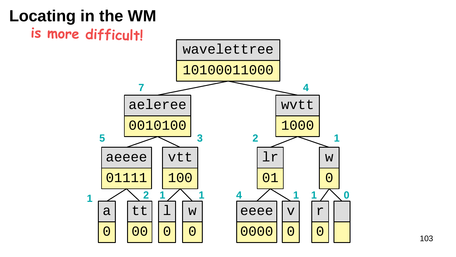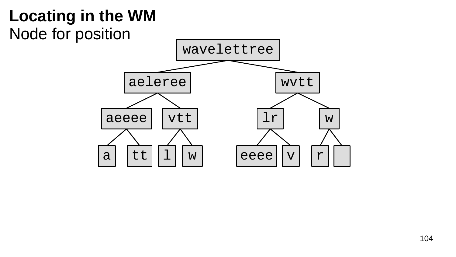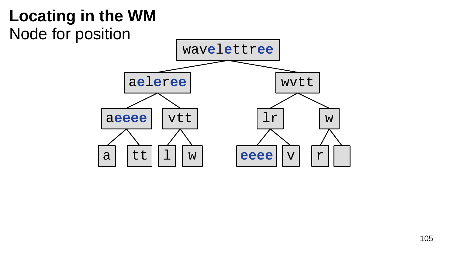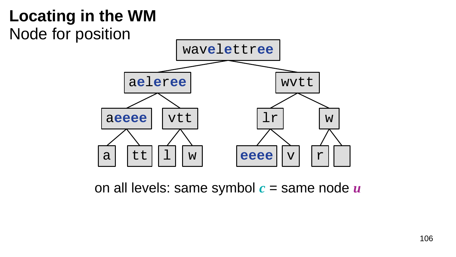

on all levels: same symbol *c* = same node *u*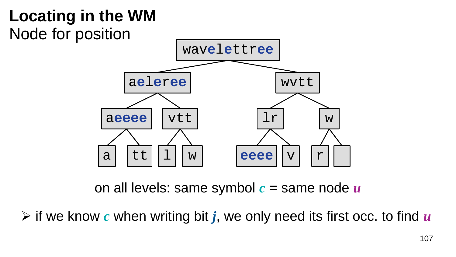

on all levels: same symbol *c* = same node *u*

⮚ if we know *c* when writing bit *j*, we only need its first occ. to find *u*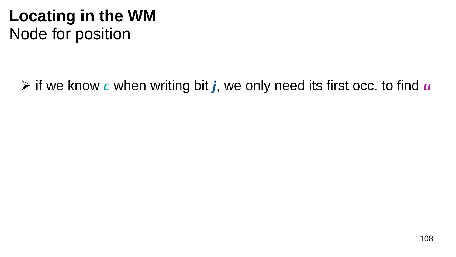$\triangleright$  if we know c when writing bit j, we only need its first occ. to find u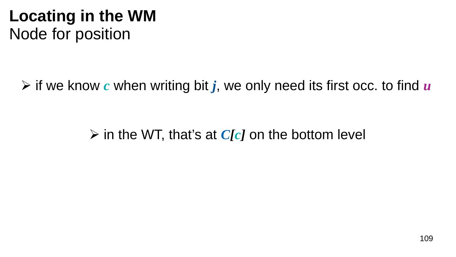# **Locating in the WM** Node for position

⮚ if we know *c* when writing bit *j*, we only need its first occ. to find *u*

⮚ in the WT, that's at *C[c]* on the bottom level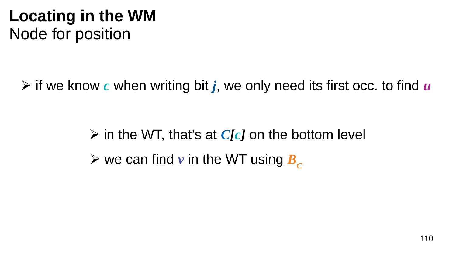# **Locating in the WM** Node for position

⮚ if we know *c* when writing bit *j*, we only need its first occ. to find *u*

⮚ in the WT, that's at *C[c]* on the bottom level  $\triangleright$  we can find v in the WT using  $\boldsymbol{B}_c$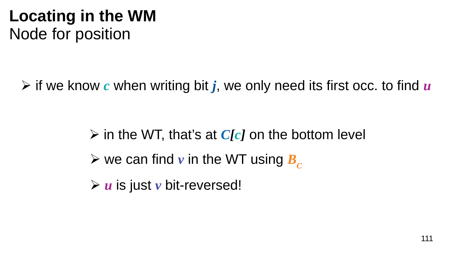# **Locating in the WM** Node for position

⮚ if we know *c* when writing bit *j*, we only need its first occ. to find *u*

⮚ in the WT, that's at *C[c]* on the bottom level ⮚ *u* is just *v* bit-reversed!  $\triangleright$  we can find *v* in the WT using  $\boldsymbol{B}_c$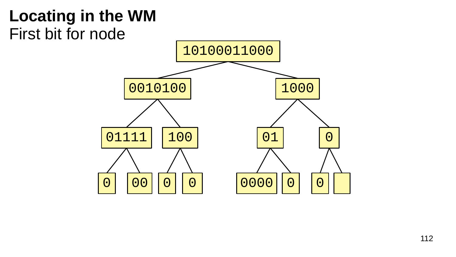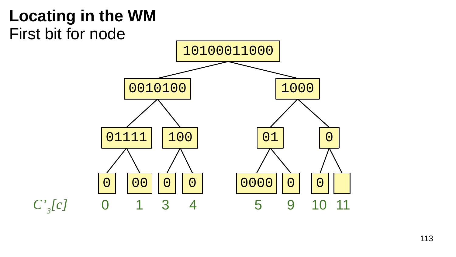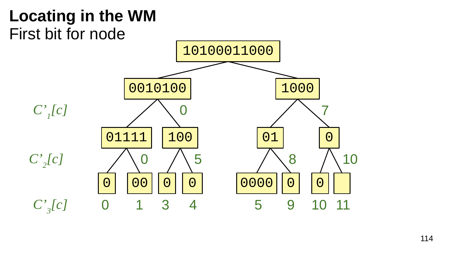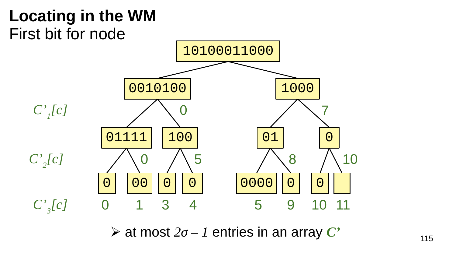

 $\triangleright$  at most  $2\sigma - 1$  entries in an array  $\mathbb{C}^*$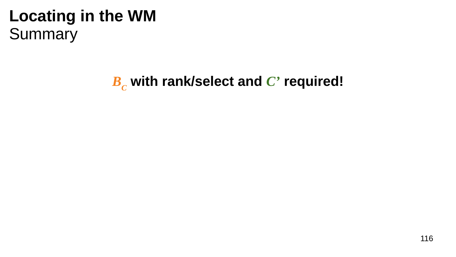*BC*  **with rank/select and** *C'* **required!**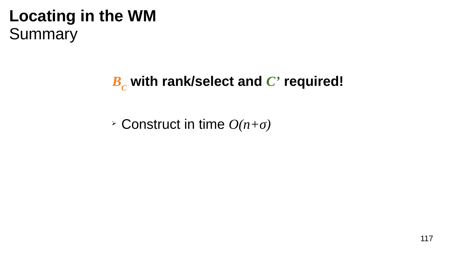#### $B_c$  with rank/select and  $C'$  required!

> Construct in time  $O(n+\sigma)$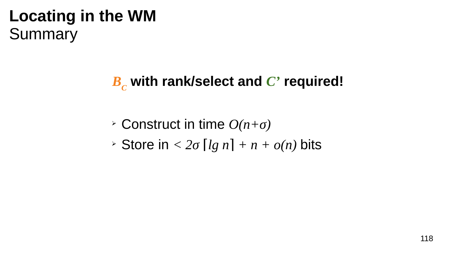#### $B<sub>c</sub>$  with rank/select and  $C<sup>3</sup>$  required!

- $\geq$  Construct in time  $O(n+\sigma)$
- Store in  $\leq 2\sigma$  [lg n] + n +  $o(n)$  bits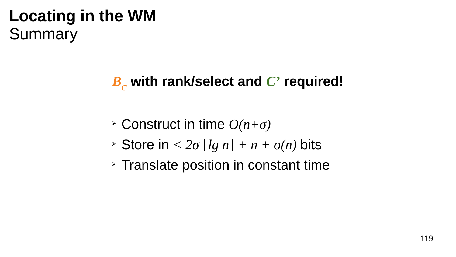# *BC*  **with rank/select and** *C'* **required!**

- ➢ Construct in time *O(n+σ)*
- $\triangleright$  Store in  $\lt 2\sigma$  [lg n] + n +  $o(n)$  bits
- ➢ Translate position in constant time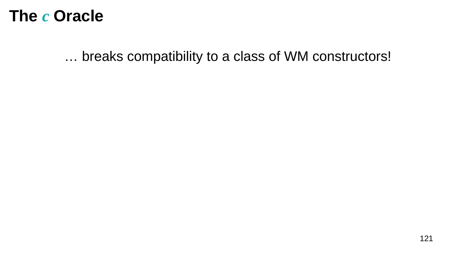... breaks compatibility to a class of WM constructors!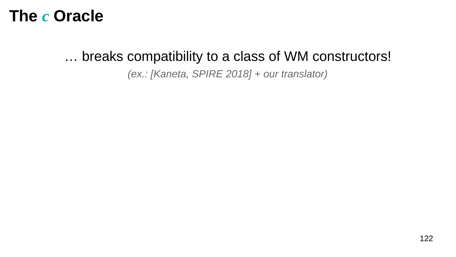#### ... breaks compatibility to a class of WM constructors!

(ex.: [Kaneta, SPIRE 2018] + our translator)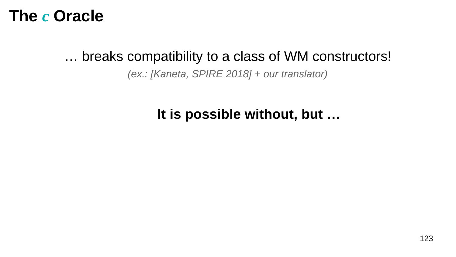#### ... breaks compatibility to a class of WM constructors!

#### (ex.: [Kaneta, SPIRE 2018] + our translator)

#### It is possible without, but ...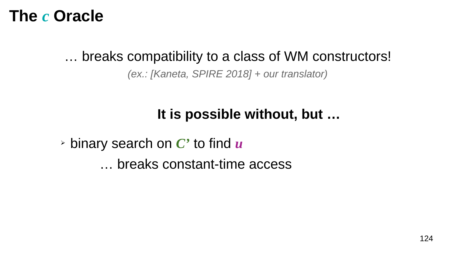#### … breaks compatibility to a class of WM constructors!

*(ex.: [Kaneta, SPIRE 2018] + our translator)*

#### **It is possible without, but …**

➢ binary search on *C'* to find *u* … breaks constant-time access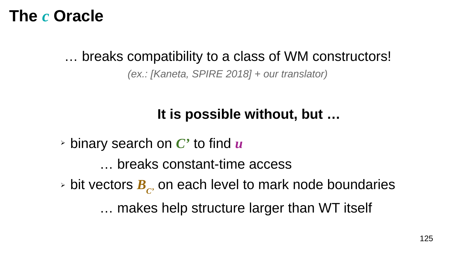#### … breaks compatibility to a class of WM constructors!

*(ex.: [Kaneta, SPIRE 2018] + our translator)*

#### **It is possible without, but …**

➢ binary search on *C'* to find *u*

… breaks constant-time access

➢ bit vectors *BC'* on each level to mark node boundaries

… makes help structure larger than WT itself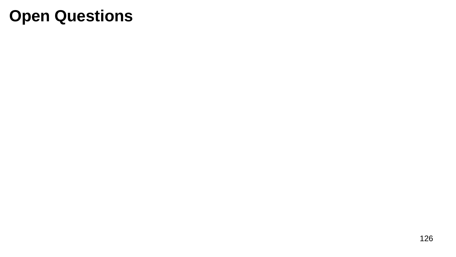# **Open Questions**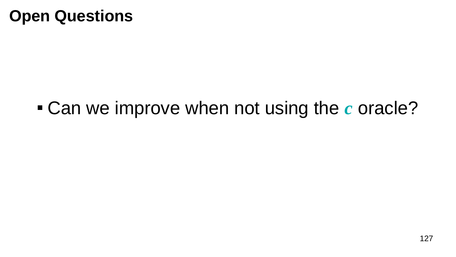# **Open Questions**

# Can we improve when not using the *c* oracle?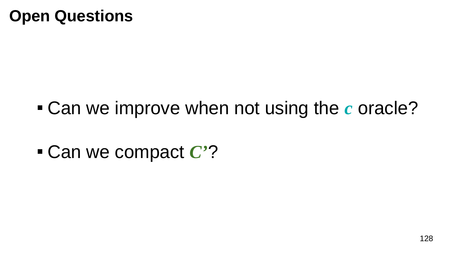# **Open Questions**

- Can we improve when not using the *c* oracle?
- Can we compact *C'*?